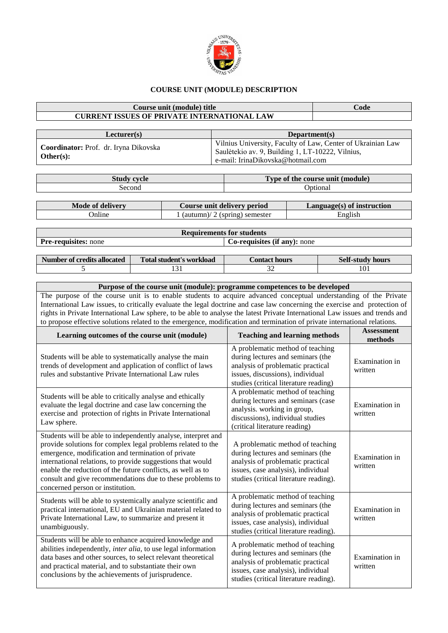

## **COURSE UNIT (MODULE) DESCRIPTION**

## **Course unit (module) title Code CURRENT ISSUES OF PRIVATE INTERNATIONAL LAW**

| Lecturer(s)                                               | Department(s)                                                                                                                                        |
|-----------------------------------------------------------|------------------------------------------------------------------------------------------------------------------------------------------------------|
| <b>Coordinator:</b> Prof. dr. Iryna Dikovska<br>Other(s): | Vilnius University, Faculty of Law, Center of Ukrainian Law<br>Saulėtekio av. 9, Building 1, LT-10222, Vilnius,<br>e-mail: IrinaDikovska@hotmail.com |

**Study cycle Type of the course unit (module)** Second Optional

| Mode of delivery | Course unit delivery period     | $Language(s)$ of instruction |
|------------------|---------------------------------|------------------------------|
| Jnline           | . (spring) semester<br>(autumn) | English                      |
|                  |                                 |                              |

|                             | <b>Requirements for students</b>    |  |  |  |
|-----------------------------|-------------------------------------|--|--|--|
| <b>Pre-requisites:</b> none | <b>Co-requisites (if any):</b> none |  |  |  |

| Number of credits allocated | Total student's workload | Contact hours : | Self-study hours |
|-----------------------------|--------------------------|-----------------|------------------|
|                             |                          | ົ<br>ےر         | 101              |

## **Purpose of the course unit (module): programme competences to be developed** The purpose of the course unit is to enable students to acquire advanced conceptual understanding of the Private International Law issues, to critically evaluate the legal doctrine and case law concerning the exercise and protection of rights in Private International Law sphere, to be able to analyse the latest Private International Law issues and trends and to propose effective solutions related to the emergence, modification and termination of private international relations.

| Learning outcomes of the course unit (module)                                                                                                                                                                                                                                                                                                                                                                    | <b>Teaching and learning methods</b>                                                                                                                                                       | <b>Assessment</b><br>methods |
|------------------------------------------------------------------------------------------------------------------------------------------------------------------------------------------------------------------------------------------------------------------------------------------------------------------------------------------------------------------------------------------------------------------|--------------------------------------------------------------------------------------------------------------------------------------------------------------------------------------------|------------------------------|
| Students will be able to systematically analyse the main<br>trends of development and application of conflict of laws<br>rules and substantive Private International Law rules                                                                                                                                                                                                                                   | A problematic method of teaching<br>during lectures and seminars (the<br>analysis of problematic practical<br>issues, discussions), individual<br>studies (critical literature reading)    | Examination in<br>written    |
| Students will be able to critically analyse and ethically<br>evaluate the legal doctrine and case law concerning the<br>exercise and protection of rights in Private International<br>Law sphere.                                                                                                                                                                                                                | A problematic method of teaching<br>during lectures and seminars (case<br>analysis. working in group,<br>discussions), individual studies<br>(critical literature reading)                 | Examination in<br>written    |
| Students will be able to independently analyse, interpret and<br>provide solutions for complex legal problems related to the<br>emergence, modification and termination of private<br>international relations, to provide suggestions that would<br>enable the reduction of the future conflicts, as well as to<br>consult and give recommendations due to these problems to<br>concerned person or institution. | A problematic method of teaching<br>during lectures and seminars (the<br>analysis of problematic practical<br>issues, case analysis), individual<br>studies (critical literature reading). | Examination in<br>written    |
| Students will be able to systemically analyze scientific and<br>practical international, EU and Ukrainian material related to<br>Private International Law, to summarize and present it<br>unambiguously.                                                                                                                                                                                                        | A problematic method of teaching<br>during lectures and seminars (the<br>analysis of problematic practical<br>issues, case analysis), individual<br>studies (critical literature reading). | Examination in<br>written    |
| Students will be able to enhance acquired knowledge and<br>abilities independently, inter alia, to use legal information<br>data bases and other sources, to select relevant theoretical<br>and practical material, and to substantiate their own<br>conclusions by the achievements of jurisprudence.                                                                                                           | A problematic method of teaching<br>during lectures and seminars (the<br>analysis of problematic practical<br>issues, case analysis), individual<br>studies (critical literature reading). | Examination in<br>written    |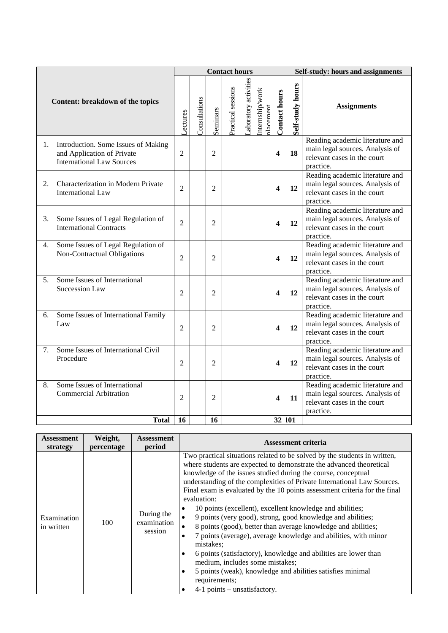| Content: breakdown of the topics                                                                            |                | <b>Contact hours</b> |                |                    |                       |                             |                         | Self-study: hours and assignments |                                                                                                                |
|-------------------------------------------------------------------------------------------------------------|----------------|----------------------|----------------|--------------------|-----------------------|-----------------------------|-------------------------|-----------------------------------|----------------------------------------------------------------------------------------------------------------|
|                                                                                                             |                | Consultations        | Seminars       | Practical sessions | Laboratory activities | Internship/work<br>dacement | <b>Contact hours</b>    | Self-study hours                  | <b>Assignments</b>                                                                                             |
| Introduction. Some Issues of Making<br>1.<br>and Application of Private<br><b>International Law Sources</b> | $\overline{2}$ |                      | $\mathfrak{D}$ |                    |                       |                             | 4                       | 18                                | Reading academic literature and<br>main legal sources. Analysis of<br>relevant cases in the court<br>practice. |
| Characterization in Modern Private<br>2.<br><b>International Law</b>                                        | $\overline{2}$ |                      | $\overline{2}$ |                    |                       |                             | $\overline{\mathbf{4}}$ | 12                                | Reading academic literature and<br>main legal sources. Analysis of<br>relevant cases in the court<br>practice. |
| Some Issues of Legal Regulation of<br>3.<br><b>International Contracts</b>                                  | 2              |                      | 2              |                    |                       |                             | $\overline{\mathbf{4}}$ | 12                                | Reading academic literature and<br>main legal sources. Analysis of<br>relevant cases in the court<br>practice. |
| Some Issues of Legal Regulation of<br>4.<br>Non-Contractual Obligations                                     | $\overline{2}$ |                      | $\overline{2}$ |                    |                       |                             | 4                       | 12                                | Reading academic literature and<br>main legal sources. Analysis of<br>relevant cases in the court<br>practice. |
| Some Issues of International<br>5.<br><b>Succession Law</b>                                                 | 2              |                      | $\overline{2}$ |                    |                       |                             | $\overline{\mathbf{4}}$ | 12                                | Reading academic literature and<br>main legal sources. Analysis of<br>relevant cases in the court<br>practice. |
| Some Issues of International Family<br>6.<br>Law                                                            | $\overline{2}$ |                      | $\overline{2}$ |                    |                       |                             | $\overline{\mathbf{4}}$ | 12                                | Reading academic literature and<br>main legal sources. Analysis of<br>relevant cases in the court<br>practice. |
| Some Issues of International Civil<br>7.<br>Procedure                                                       | $\overline{2}$ |                      | $\overline{2}$ |                    |                       |                             | $\overline{\mathbf{4}}$ | 12                                | Reading academic literature and<br>main legal sources. Analysis of<br>relevant cases in the court<br>practice. |
| Some Issues of International<br>8.<br><b>Commercial Arbitration</b>                                         | $\overline{2}$ |                      | $\overline{2}$ |                    |                       |                             | 4                       | 11                                | Reading academic literature and<br>main legal sources. Analysis of<br>relevant cases in the court<br>practice. |
| <b>Total</b>                                                                                                | 16             |                      | 16             |                    |                       |                             | 32 101                  |                                   |                                                                                                                |

| Assessment                | Weight,    | <b>Assessment</b>                    | <b>Assessment criteria</b>                                                                                                                                                                                                                                                                                                                                                                                                                                                                                                                                                                                                                                                                                                                                                                                                                                                                                                                     |  |  |  |
|---------------------------|------------|--------------------------------------|------------------------------------------------------------------------------------------------------------------------------------------------------------------------------------------------------------------------------------------------------------------------------------------------------------------------------------------------------------------------------------------------------------------------------------------------------------------------------------------------------------------------------------------------------------------------------------------------------------------------------------------------------------------------------------------------------------------------------------------------------------------------------------------------------------------------------------------------------------------------------------------------------------------------------------------------|--|--|--|
| strategy                  | percentage | period                               |                                                                                                                                                                                                                                                                                                                                                                                                                                                                                                                                                                                                                                                                                                                                                                                                                                                                                                                                                |  |  |  |
| Examination<br>in written | 100        | During the<br>examination<br>session | Two practical situations related to be solved by the students in written,<br>where students are expected to demonstrate the advanced theoretical<br>knowledge of the issues studied during the course, conceptual<br>understanding of the complexities of Private International Law Sources.<br>Final exam is evaluated by the 10 points assessment criteria for the final<br>evaluation:<br>10 points (excellent), excellent knowledge and abilities;<br>9 points (very good), strong, good knowledge and abilities;<br>$\bullet$<br>8 points (good), better than average knowledge and abilities;<br>7 points (average), average knowledge and abilities, with minor<br>$\bullet$<br>mistakes;<br>6 points (satisfactory), knowledge and abilities are lower than<br>٠<br>medium, includes some mistakes;<br>5 points (weak), knowledge and abilities satisfies minimal<br>$\bullet$<br>requirements;<br>$4-1$ points – unsatisfactory.<br>٠ |  |  |  |